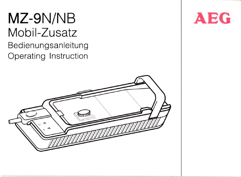# MZ-9N/NB Mobil-Zusatz Bedienungsanleitung Operating lnstruction



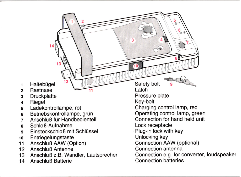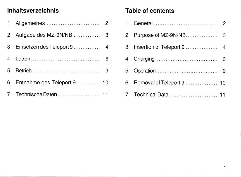# lnhaltsverzeichnis

|   | Allgemeines                 | 2 |
|---|-----------------------------|---|
| 2 |                             |   |
| 3 |                             |   |
| 4 |                             | 6 |
| 5 |                             | 9 |
| 6 | Entnahme des Teleport 9  10 |   |
|   | Technische Daten  11        |   |

## Table of contents

|   |                           | $\mathcal{P}$ |
|---|---------------------------|---------------|
|   | Purpose of MZ-9N/NB       | 3             |
| 3 |                           |               |
|   |                           | 6             |
| 5 |                           |               |
| 6 | Removal of Teleport 9  10 |               |
|   |                           |               |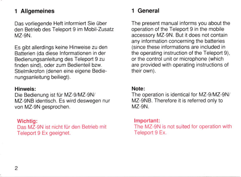## l Allgemeines

Das vorliegende Heft informiert Sie über den Betrieb des Teleport 9 im Mobil-Zusatz  $MZ-9N$ .

Es gibt allerdings keine Hinweise zu den Batterien (da diese lnformationen in der Bedienungsanleitung des Teleport 9 zu finden sind). oder zum Bedienteil bzw. Stielmikrofon (denen eine eigene Bedienungsanleitung beiliegt).

#### Hinweis;

Die Bedienung ist für MZ-9/MZ-9N/ MZ-gNB identisch. Es wird deswegen nur von MZ-9N gesprochen.

#### Wichtig:

Das MZ-gN ist nicht tür den Betrieb mit Teleport 9 Ex geeignet.

## 1 General

The present manual informs you about the operation of the Teleport 9 in the mobile accessory MZ-gN. But it does not contain any information concerning the batteries (since these informations are included in the operating instruction of the Teleport 9), or the control unit or microphone (which are provided with operating instructions of their own).

#### Note:

The operation is identical for MZ-g/MZ-gN/ MZ-9NB. Therefore it is referred only to MZ-9N.

#### lmportant:

The MZ-9N is not suited for operation with Teleport 9 Ex.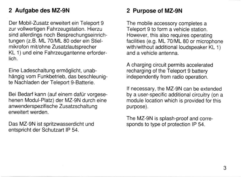## 2 Autgabe des MZ-gN

Der Mobil-Zusatz erweitert ein Teleport 9 zur vollwertigen Fahrzeugstation. Hierzu sind allerdings noch Besprechungseinrichtungen (z.B. ML 70/ML 80 oder ein Stielmikrofon mivohne Zusatzlautsprecher KL 1) und eine Fahrzeugantenne erforderlich.

Eine Ladeschaltung ermöglicht, unabhängig vom Funkbetrieb, das beschleunigte Nachladen der Teleport 9-Batterie.

Bei Bedarf kann (auf einem dafür vorgesehenen Modul-Platz) der MZ-9N durch eine anwenderspezifische Zusatzschaltung erweitert werden.

Das MZ-9N ist spritzwasserdicht und entspricht der Schutzart IP 54.

## 2 Purpose of MZ-gN

The mobile accessory completes a Teleport 9 to form a vehicle station. However, this also requires operating facilities (e.g. ML 70/ML 80 or microphone with/without additional loudspeaker KL 1) and a vehicle antenna.

A charging circuit permits accelerated recharging of the Teleport 9 battery independently from radio operation.

lf necessary, the MZ-gN can be extended by a user-specific additional circuitry (on a module location which is provided for this purpose).

The MZ-gN is splash-proof and corre sponds to type of protection lP 54.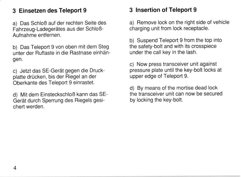## 3 Einsetzen des Teleport 9

a) Das Schloß auf der rechten Seite des Fahrzeug-Ladegerätes aus der Schloß-Aufnahme entfernen.

b) Das Teleport 9 von oben mit dem Steg unter der Fiuftaste in die Rastnase einhän gen.

c) Jetzt das SE-Gerät gegen die Druckplatte drücken, bis der Riegel an der Oberkante des Teleport 9 einrastet.

d) Mit dem Einsteckschloß kann das SE-Gerät durch Sperrung des Riegels gesichert werden.

## 3 Insertion of Teleport 9

a) Remove lock on the riqht side of vehicle charging unit from lock receptacle.

b) Suspend Teleport 9 from the top into the safety-bolt and with its crosspiece under the call key in the lash.

c) Now press transceiver unit against pressure plate until the key-bolt locks at upper edge of Teleport 9.

d) By means of the mortise dead lock the transceiver unit can now be secured by locking the key-bolt.